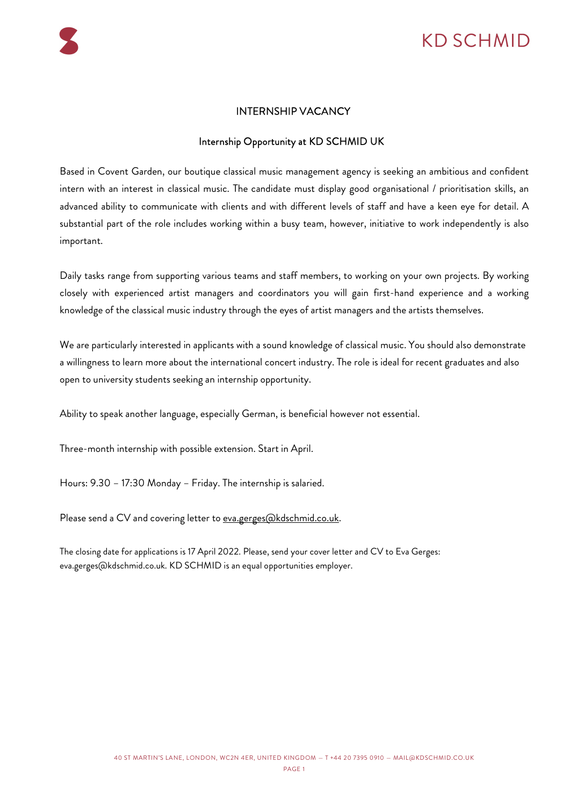# KD SCHMID

## INTERNSHIP VACANCY

## Internship Opportunity at KD SCHMID UK

Based in Covent Garden, our boutique classical music management agency is seeking an ambitious and confident intern with an interest in classical music. The candidate must display good organisational / prioritisation skills, an advanced ability to communicate with clients and with different levels of staff and have a keen eye for detail. A substantial part of the role includes working within a busy team, however, initiative to work independently is also important.

Daily tasks range from supporting various teams and staff members, to working on your own projects. By working closely with experienced artist managers and coordinators you will gain first-hand experience and a working knowledge of the classical music industry through the eyes of artist managers and the artists themselves.

We are particularly interested in applicants with a sound knowledge of classical music. You should also demonstrate a willingness to learn more about the international concert industry. The role is ideal for recent graduates and also open to university students seeking an internship opportunity.

Ability to speak another language, especially German, is beneficial however not essential.

Three-month internship with possible extension. Start in April.

Hours: 9.30 – 17:30 Monday – Friday. The internship is salaried.

Please send a CV and covering letter to eva.gerges@kdschmid.co.uk.

The closing date for applications is 17 April 2022. Please, send your cover letter and CV to Eva Gerges: eva.gerges@kdschmid.co.uk. KD SCHMID is an equal opportunities employer.